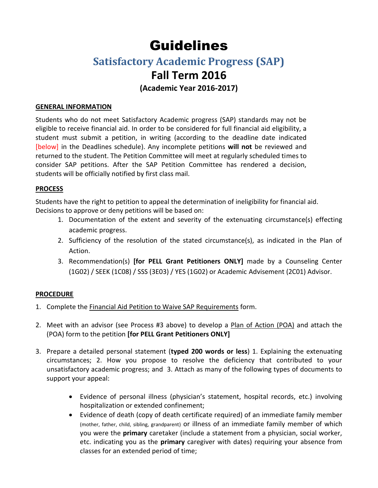# Guidelines

# **Satisfactory Academic Progress (SAP)**

## **Fall Term 2016**

**(Academic Year 2016-2017)** 

## **GENERAL INFORMATION**

Students who do not meet Satisfactory Academic progress (SAP) standards may not be eligible to receive financial aid. In order to be considered for full financial aid eligibility, a student must submit a petition, in writing (according to the deadline date indicated [below] in the Deadlines schedule). Any incomplete petitions **will not** be reviewed and returned to the student. The Petition Committee will meet at regularly scheduled times to consider SAP petitions. After the SAP Petition Committee has rendered a decision, students will be officially notified by first class mail.

## **PROCESS**

Students have the right to petition to appeal the determination of ineligibility for financial aid. Decisions to approve or deny petitions will be based on:

- 1. Documentation of the extent and severity of the extenuating circumstance(s) effecting academic progress.
- 2. Sufficiency of the resolution of the stated circumstance(s), as indicated in the Plan of Action.
- 3. Recommendation(s) **[for PELL Grant Petitioners ONLY]** made by a Counseling Center (1G02) / SEEK (1C08) / SSS (3E03) / YES (1G02) or Academic Advisement (2C01) Advisor.

## **PROCEDURE**

- 1. Complete the Financial Aid Petition to Waive SAP Requirements form.
- 2. Meet with an advisor (see Process #3 above) to develop a Plan of Action (POA) and attach the (POA) form to the petition **[for PELL Grant Petitioners ONLY]**
- 3. Prepare a detailed personal statement (**typed 200 words or less**) 1. Explaining the extenuating circumstances; 2. How you propose to resolve the deficiency that contributed to your unsatisfactory academic progress; and 3. Attach as many of the following types of documents to support your appeal:
	- Evidence of personal illness (physician's statement, hospital records, etc.) involving hospitalization or extended confinement;
	- Evidence of death (copy of death certificate required) of an immediate family member (mother, father, child, sibling, grandparent) or illness of an immediate family member of which you were the **primary** caretaker (include a statement from a physician, social worker, etc. indicating you as the **primary** caregiver with dates) requiring your absence from classes for an extended period of time;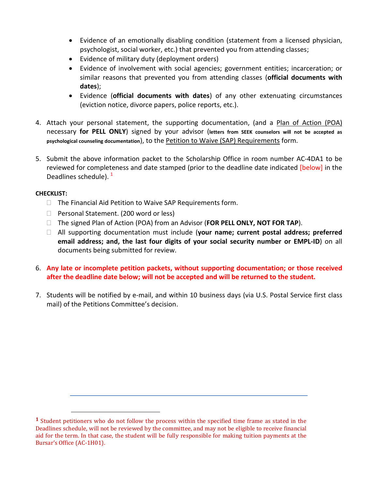- Evidence of an emotionally disabling condition (statement from a licensed physician, psychologist, social worker, etc.) that prevented you from attending classes;
- Evidence of military duty (deployment orders)
- Evidence of involvement with social agencies; government entities; incarceration; or similar reasons that prevented you from attending classes (**official documents with dates**);
- Evidence (**official documents with dates**) of any other extenuating circumstances (eviction notice, divorce papers, police reports, etc.).
- 4. Attach your personal statement, the supporting documentation, (and a Plan of Action (POA) necessary **for PELL ONLY**) signed by your advisor (**letters from SEEK counselors will not be accepted as psychological counseling documentation**), to the Petition to Waive (SAP) Requirements form.
- 5. Submit the above information packet to the Scholarship Office in room number AC-4DA1 to be reviewed for completeness and date stamped (prior to the deadline date indicated [below] in the Deadlines schedule). $<sup>1</sup>$ </sup>

## **CHECKLIST:**

 $\overline{\phantom{a}}$ 

- $\Box$  The Financial Aid Petition to Waive SAP Requirements form.
- □ Personal Statement. (200 word or less)
- The signed Plan of Action (POA) from an Advisor (**FOR PELL ONLY, NOT FOR TAP**).
- All supporting documentation must include (**your name; current postal address; preferred email address; and, the last four digits of your social security number or EMPL-ID**) on all documents being submitted for review.
- 6. **Any late or incomplete petition packets, without supporting documentation; or those received after the deadline date below; will not be accepted and will be returned to the student.**
- 7. Students will be notified by e-mail, and within 10 business days (via U.S. Postal Service first class mail) of the Petitions Committee's decision.

**<sup>1</sup>** Student petitioners who do not follow the process within the specified time frame as stated in the Deadlines schedule, will not be reviewed by the committee, and may not be eligible to receive financial aid for the term. In that case, the student will be fully responsible for making tuition payments at the Bursar's Office (AC-1H01).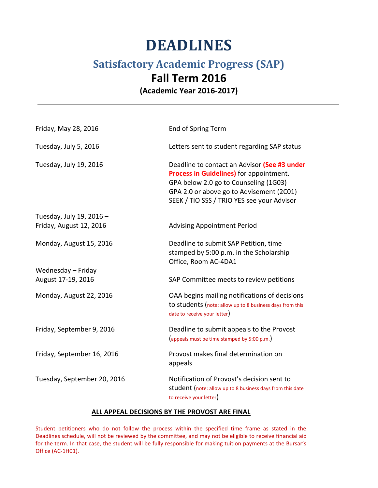# **DEADLINES**

# **Satisfactory Academic Progress (SAP)**

## **Fall Term 2016**

**(Academic Year 2016-2017)**

| Friday, May 28, 2016        | End of Spring Term                                                                                                                                                                                                         |
|-----------------------------|----------------------------------------------------------------------------------------------------------------------------------------------------------------------------------------------------------------------------|
| Tuesday, July 5, 2016       | Letters sent to student regarding SAP status                                                                                                                                                                               |
| Tuesday, July 19, 2016      | Deadline to contact an Advisor (See #3 under<br>Process in Guidelines) for appointment.<br>GPA below 2.0 go to Counseling (1G03)<br>GPA 2.0 or above go to Advisement (2C01)<br>SEEK / TIO SSS / TRIO YES see your Advisor |
| Tuesday, July 19, 2016 -    |                                                                                                                                                                                                                            |
| Friday, August 12, 2016     | <b>Advising Appointment Period</b>                                                                                                                                                                                         |
| Monday, August 15, 2016     | Deadline to submit SAP Petition, time<br>stamped by 5:00 p.m. in the Scholarship<br>Office, Room AC-4DA1                                                                                                                   |
| Wednesday - Friday          |                                                                                                                                                                                                                            |
| August 17-19, 2016          | SAP Committee meets to review petitions                                                                                                                                                                                    |
| Monday, August 22, 2016     | OAA begins mailing notifications of decisions<br>to students (note: allow up to 8 business days from this<br>date to receive your letter)                                                                                  |
| Friday, September 9, 2016   | Deadline to submit appeals to the Provost<br>(appeals must be time stamped by 5:00 p.m.)                                                                                                                                   |
| Friday, September 16, 2016  | Provost makes final determination on<br>appeals                                                                                                                                                                            |
| Tuesday, September 20, 2016 | Notification of Provost's decision sent to<br>student (note: allow up to 8 business days from this date<br>to receive your letter)                                                                                         |

### **ALL APPEAL DECISIONS BY THE PROVOST ARE FINAL**

Student petitioners who do not follow the process within the specified time frame as stated in the Deadlines schedule, will not be reviewed by the committee, and may not be eligible to receive financial aid for the term. In that case, the student will be fully responsible for making tuition payments at the Bursar's Office (AC-1H01).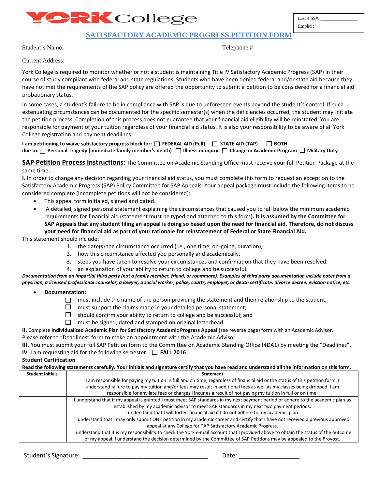# **PRK** College

Last 4 SS#: \_\_\_\_\_\_\_\_\_\_\_\_\_\_\_\_ Emplid :

**SATISFACTORY ACADEMIC PROGRESS PETITION FORM**

Student's Name: \_\_\_\_\_\_\_\_\_\_\_\_\_\_\_\_\_\_\_\_\_\_\_\_\_\_\_\_\_\_\_\_\_\_\_\_\_\_\_\_\_\_\_\_\_\_\_\_\_\_\_\_\_\_\_\_\_\_\_\_\_\_\_ Telephone # \_\_\_\_\_\_\_\_\_\_\_\_\_\_\_\_\_\_\_\_\_\_\_\_\_\_\_\_\_\_\_\_\_\_\_\_\_\_\_

Current Address:

York College is required to monitor whether or not a student is maintaining Title IV Satisfactory Academic Progress (SAP) in their course of study compliant with federal and state regulations. Students who have been denied federal and/or state aid because they have not met the requirements of the SAP policy are offered the opportunity to submit a petition to be considered for a financial aid probationary status.

In some cases, a student's failure to be in compliance with SAP is due to unforeseen events beyond the student's control. If such extenuating circumstances can be documented for the specific semester(s) when the deficiencies occurred, the student may initiate the petition process. Completion of this process does not guarantee that your financial aid eligibility will be reinstated. You are responsible for payment of your tuition regardless of your financial aid status. It is also your responsibility to be aware of all York College registration and payment deadlines.

**I am petitioning to waive satisfactory progress block for: □ FEDERAL AID (Pell) □ STATE AID (TAP)** □ BOTH **due to: Personal Tragedy (immediate family member's death) Illness or injury Change in Academic Program Military Duty**

**SAP Petition Process Instructions**: The Committee on Academic Standing Office must receive your full Petition Package at the same time**.**

**I.** In order to change any decision regarding your financial aid status, you must complete this form to request an exception to the Satisfactory Academic Progress (SAP) Policy Committee for SAP Appeals. Your appeal package **must** include the following items to be considered complete (incomplete petitions will not be considered):

- This appeal form initialed, signed and dated.
- A detailed, signed personal statement explaining the circumstances that caused you to fall below the minimum academic requirements for financial aid (statement must be typed and attached to this form**). It is assumed by the Committee for SAP Appeals that any student filing an appeal is doing so based upon the need for financial aid. Therefore, do not discuss your need for financial aid as part of your rationale for reinstatement of Federal or State Financial Aid.**

This statement should include:

- 1. the date(s) the circumstance occurred (i.e., one time, on-going, duration),
- 2. how this circumstance affected you personally and academically,
- 3. steps you have taken to resolve your circumstances and confirmation that they have been resolved.
- 4. an explanation of your ability to return to college and be successful.

*Documentation from an impartial third party (not a family member, friend, or roommate). Examples of third party documentation include notes from a physician, a licensed professional counselor, a lawyer, a social worker, police, courts, employer, or death certificate, divorce decree, eviction notice, etc.* 

- **Documentation:** 
	- $\Box$  must include the name of the person providing the statement and their relationship to the student,
	- $\Box$  must support the claims made in your detailed personal statement,
	- $\Box$  should confirm your ability to return to college and be successful; and
	- $\Box$  must be signed, dated and stamped on original letterhead.

**II.** Complete **Individualized Academic Plan for Satisfactory Academic Progress Appeal** (see reverse page) form with an Academic Advisor.

Please refer to "Deadlines" form to make an appointment with the Academic Advisor.

**III.** You must submit your full SAP Petition form to the Committee on Academic Standing Office (4DA1) by meeting the "Deadlines". **IV**. I am requesting aid for the following semester  $\Box$  **FALL 2016** 

### **Student Certification**

**Read the following statements carefully. Your initials and signature certify that you have read and understand all the information on this form. Student Initials Statement**

| эшиет типаз | эмиспени                                                                                                                             |
|-------------|--------------------------------------------------------------------------------------------------------------------------------------|
|             | I am responsible for paying my tuition in full and on time, regardless of financial aid or the status of this petition form. I       |
|             | understand failure to pay my tuition and/or fees may result in additional fees as well as my classes being dropped. I am             |
|             | responsible for any late fees or charges I incur as a result of not paying my tuition in full or on time.                            |
|             | I understand that if my appeal is granted I must meet SAP standards in my next payment period or adhere to the academic plan as      |
|             | established by my academic advisor to meet SAP standards in my next two payment periods.                                             |
|             | I understand that I will forfeit financial aid if I do not adhere to my academic plan.                                               |
|             | I understand that I may only submit ONE petition in my academic career and certify that I have not received a previous approved      |
|             | appeal at any College for TAP Satisfactory Academic Progress.                                                                        |
|             | I understand that it is my responsibility to check the York e-mail account that I provided above to obtain the status of the outcome |
|             | of my appeal. I understand the decision determined by the Committee of SAP Petitions may be appealed to the Provost.                 |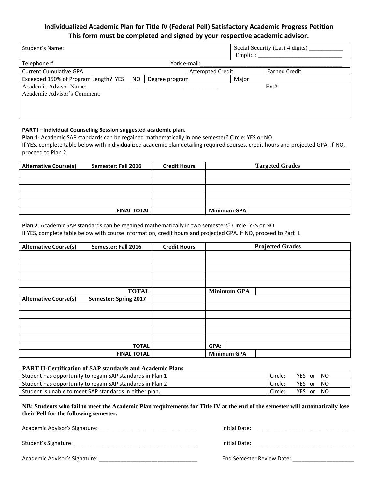## **Individualized Academic Plan for Title IV (Federal Pell) Satisfactory Academic Progress Petition This form must be completed and signed by your respective academic advisor.**

| Student's Name:                                                     |                         | Emplid: | Social Security (Last 4 digits) |
|---------------------------------------------------------------------|-------------------------|---------|---------------------------------|
| Telephone #<br>York e-mail:                                         |                         |         |                                 |
| <b>Current Cumulative GPA</b>                                       | <b>Attempted Credit</b> |         | <b>Earned Credit</b>            |
| Exceeded 150% of Program Length? YES<br><b>NO</b><br>Degree program |                         | Major   |                                 |
| Academic Advisor Name:<br>Academic Advisor's Comment:               |                         |         | Ext#                            |

### **PART I –Individual Counseling Session suggested academic plan.**

**Plan 1**- Academic SAP standards can be regained mathematically in one semester? Circle: YES or NO If YES, complete table below with individualized academic plan detailing required courses, credit hours and projected GPA. If NO, proceed to Plan 2.

| <b>Alternative Course(s)</b> | Semester: Fall 2016 | <b>Credit Hours</b> | <b>Targeted Grades</b> |
|------------------------------|---------------------|---------------------|------------------------|
|                              |                     |                     |                        |
|                              |                     |                     |                        |
|                              |                     |                     |                        |
|                              |                     |                     |                        |
|                              |                     |                     |                        |
|                              | <b>FINAL TOTAL</b>  |                     | <b>Minimum GPA</b>     |

**Plan 2**. Academic SAP standards can be regained mathematically in two semesters? Circle: YES or NO

If YES, complete table below with course information, credit hours and projected GPA. If NO, proceed to Part II.

| <b>Alternative Course(s)</b> | Semester: Fall 2016   | <b>Credit Hours</b> | <b>Projected Grades</b> |
|------------------------------|-----------------------|---------------------|-------------------------|
|                              |                       |                     |                         |
|                              |                       |                     |                         |
|                              |                       |                     |                         |
|                              |                       |                     |                         |
|                              |                       |                     |                         |
|                              | <b>TOTAL</b>          |                     | <b>Minimum GPA</b>      |
| <b>Alternative Course(s)</b> | Semester: Spring 2017 |                     |                         |
|                              |                       |                     |                         |
|                              |                       |                     |                         |
|                              |                       |                     |                         |
|                              |                       |                     |                         |
|                              |                       |                     |                         |
|                              | <b>TOTAL</b>          |                     | GPA:                    |
|                              | <b>FINAL TOTAL</b>    |                     | <b>Minimum GPA</b>      |

#### **PART II-Certification of SAP standards and Academic Plans**

| Student has opportunity to regain SAP standards in Plan 1 | Circle: | YES or NO |
|-----------------------------------------------------------|---------|-----------|
| Student has opportunity to regain SAP standards in Plan 2 | Circle: | YES or NO |
| Student is unable to meet SAP standards in either plan.   | Circle: | YES or NO |

**NB: Students who fail to meet the Academic Plan requirements for Title IV at the end of the semester will automatically lose their Pell for the following semester.**

Academic Advisor's Signature: \_\_\_\_\_\_\_\_\_\_\_\_\_\_\_\_\_\_\_\_\_\_\_\_\_\_\_\_\_\_\_\_ Initial Date: \_\_\_\_\_\_\_\_\_\_\_\_\_\_\_\_\_\_\_\_\_\_\_\_\_\_\_\_\_\_\_ \_

| Initial Date: |  |  |  |  |
|---------------|--|--|--|--|
|               |  |  |  |  |

Academic Advisor's Signature: \_\_\_\_\_\_\_\_\_\_\_\_\_\_\_\_\_\_\_\_\_\_\_\_\_\_\_\_\_\_\_\_ End Semester Review Date: \_\_\_\_\_\_\_\_\_\_\_\_\_\_\_\_\_\_\_\_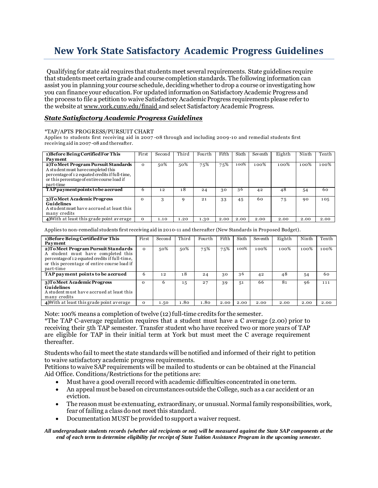## **New York State Satisfactory Academic Progress Guidelines**

Qualifying for state aid requires that students meet several requirements. State guidelines require that students meet certain grade and course completion standards. The following information can assist you in planning your course schedule, deciding whether to drop a course or investigating how you can finance your education. For updated information on Satisfactory Academic Progress and the process to file a petition to waive Satisfactory Academic Progress requirements please refer to the website at www.york.cuny.edu/finaid and select Satisfactory Academic Progress.

### *State Satisfactory Academic Progress Guidelines*

#### \*TAP/APTS PROGRESS/PURSUIT CHART

Applies to students first receiving aid in 2007 -08 through and including 2009-10 and remedial students first receiving aid in 2007 -08 and thereafter.

| 1) Before Being Certified For This                                                                                                                                          | First    | Second | Third | Fourth | Fifth | Sixth | Seventh | Eighth | Ninth | Tenth |
|-----------------------------------------------------------------------------------------------------------------------------------------------------------------------------|----------|--------|-------|--------|-------|-------|---------|--------|-------|-------|
| Payment                                                                                                                                                                     |          |        |       |        |       |       |         |        |       |       |
| 2) To Meet Program Pursuit Standards<br>A student must have completed this<br>percentage of 12 equated credits if full-time,<br>or this percentage of entire course load if | $\Omega$ | 50%    | 50%   | 75%    | 75%   | 100%  | 100%    | 100%   | 100%  | 100%  |
| part-time                                                                                                                                                                   |          |        |       |        |       |       |         |        |       |       |
| TAP payment points to be accrued                                                                                                                                            | 6        | 12     | 18    | 24     | 30    | 36    | 42      | 48     | 54    | 60    |
| 3)To Meet Academic Progress<br><b>Guidelines</b><br>A student must have accrued at least this<br>many credits                                                               | $\Omega$ | 3      | q     | 21     | 33    | 45    | 60      | 75     | 90    | 105   |
| 4) With at least this grade point average                                                                                                                                   | $\Omega$ | 1.10   | 1.20  | 1.30   | 2.00  | 2.00  | 2.00    | 2.00   | 2.00  | 2.00  |

Applies to non-remedial students first receiving aid in 2010-11 and thereafter (New Standards in Proposed Budget).

| 1) Before Being Certified For This                                                                                                                                                       | First    | Second | Third | Fourth | Fifth | Sixth | Seventh | Eighth  | Ninth   | Tenth   |
|------------------------------------------------------------------------------------------------------------------------------------------------------------------------------------------|----------|--------|-------|--------|-------|-------|---------|---------|---------|---------|
| Payment                                                                                                                                                                                  |          |        |       |        |       |       |         |         |         |         |
| 2) To Meet Program Pursuit Standards<br>A student must have completed this<br>percentage of 12 equated credits if full-time.<br>or this percentage of entire course load if<br>part-time | $\Omega$ | 50%    | 50%   | 75%    | 75%   | 100%  | 100%    | $100\%$ | $100\%$ | $100\%$ |
| TAP payment points to be accrued                                                                                                                                                         | 6        | 12     | 18    | 24     | 30    | 36    | 42      | 48      | 54      | 60      |
| 3)To Meet Academic Progress<br><b>Guidelines</b><br>A student must have accrued at least this<br>many credits                                                                            | $\Omega$ | 6      | 15    | 27     | 39    | 51    | 66      | 81      | 96      | 111     |
| 4) With at least this grade point average                                                                                                                                                | $\Omega$ | 1.50   | 1.80  | 1.80   | 2.00  | 2.00  | 2.00    | 2.00    | 2.00    | 2.00    |

Note: 100% means a completion of twelve (12) full-time credits for the semester.

\*The TAP C-average regulation requires that a student must have a C average (2.00) prior to receiving their 5th TAP semester. Transfer student who have received two or more years of TAP are eligible for TAP in their initial term at York but must meet the C average requirement thereafter.

Students who fail to meet the state standards will be notified and informed of their right to petition to waive satisfactory academic progress requirements.

Petitions to waive SAP requirements will be mailed to students or can be obtained at the Financial Aid Office. Conditions/Restrictions for the petitions are:

- Must have a good overall record with academic difficulties concentrated in one term.
- An appeal must be based on circumstances outside the College, such as a car accident or an eviction.
- The reason must be extenuating, extraordinary, or unusual. Normal family responsibilities, work, fear of failing a class do not meet this standard.
- Documentation MUST be provided to support a waiver request.

*All undergraduate students records (whether aid recipients or not) will be measured against the State SAP components at the end of each term to determine eligibility for receipt of State Tuition Assistance Program in the upcoming semester.*